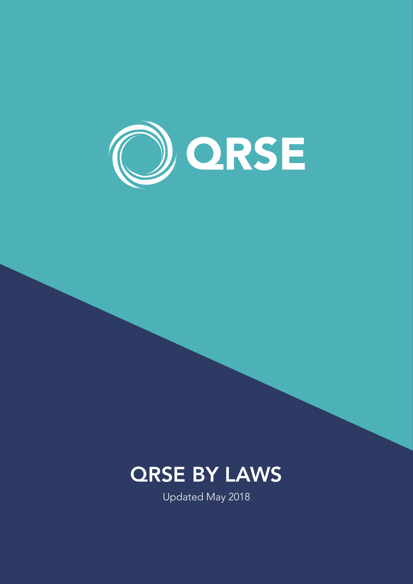

# **QRSE BY LAWS**

Updated May 2018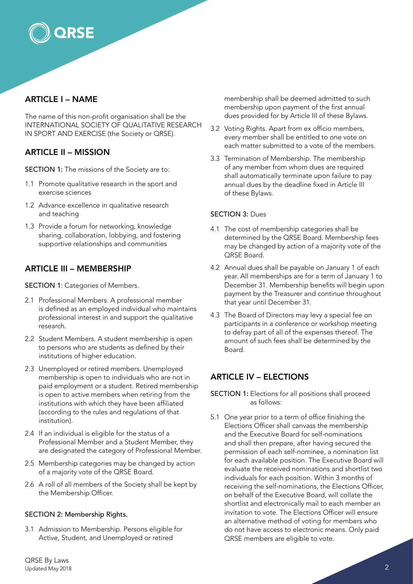

**ORSE** 

The name of this non-profit organisation shall be the INTERNATIONAL SOCIETY OF QUALITATIVE RESEARCH IN SPORT AND EXERCISE (the Society or QRSE).

## ARTICLE II – MISSION

SECTION 1: The missions of the Society are to:

- 1.1 Promote qualitative research in the sport and exercise sciences
- 1.2 Advance excellence in qualitative research and teaching
- 1.3 Provide a forum for networking, knowledge sharing, collaboration, lobbying, and fostering supportive relationships and communities

## ARTICLE III – MEMBERSHIP

SECTION 1: Categories of Members.

- 2.1 Professional Members. A professional member is defined as an employed individual who maintains professional interest in and support the qualitative research.
- 2.2 Student Members. A student membership is open to persons who are students as defined by their institutions of higher education.
- 2.3 Unemployed or retired members. Unemployed membership is open to individuals who are not in paid employment or a student. Retired membership is open to active members when retiring from the institutions with which they have been affiliated (according to the rules and regulations of that institution).
- 2.4 If an individual is eligible for the status of a Professional Member and a Student Member, they are designated the category of Professional Member.
- 2.5 Membership categories may be changed by action of a majority vote of the QRSE Board.
- 2.6 A roll of all members of the Society shall be kept by the Membership Officer.

#### SECTION 2: Membership Rights.

3.1 Admission to Membership. Persons eligible for Active, Student, and Unemployed or retired

membership shall be deemed admitted to such membership upon payment of the first annual dues provided for by Article III of these Bylaws.

- 3.2 Voting Rights. Apart from ex officio members, every member shall be entitled to one vote on each matter submitted to a vote of the members.
- 3.3 Termination of Membership. The membership of any member from whom dues are required shall automatically terminate upon failure to pay annual dues by the deadline fixed in Article III of these Bylaws.

#### SECTION 3: Dues

- 4.1 The cost of membership categories shall be determined by the QRSE Board. Membership fees may be changed by action of a majority vote of the QRSE Board.
- 4.2 Annual dues shall be payable on January 1 of each year. All memberships are for a term of January 1 to December 31. Membership benefits will begin upon payment by the Treasurer and continue throughout that year until December 31.
- 4.3 The Board of Directors may levy a special fee on participants in a conference or workshop meeting to defray part of all of the expenses thereof. The amount of such fees shall be determined by the Board.

## ARTICLE IV – ELECTIONS

- SECTION 1: Elections for all positions shall proceed as follows:
- 5.1 One year prior to a term of office finishing the Elections Officer shall canvass the membership and the Executive Board for self-nominations and shall then prepare, after having secured the permission of each self-nominee, a nomination list for each available position. The Executive Board will evaluate the received nominations and shortlist two individuals for each position. Within 3 months of receiving the self-nominations, the Elections Officer, on behalf of the Executive Board, will collate the shortlist and electronically mail to each member an invitation to vote. The Elections Officer will ensure an alternative method of voting for members who do not have access to electronic means. Only paid QRSE members are eligible to vote.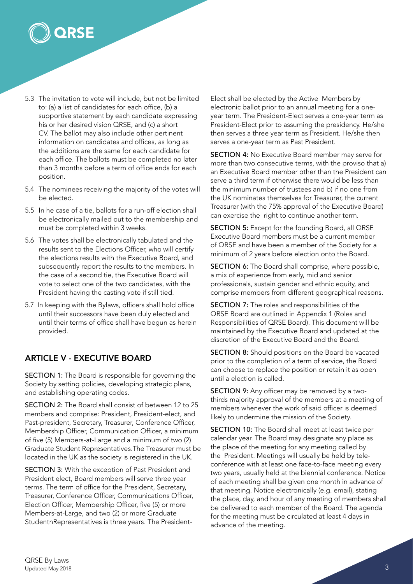

- 5.3 The invitation to vote will include, but not be limited to: (a) a list of candidates for each office, (b) a supportive statement by each candidate expressing his or her desired vision QRSE, and (c) a short CV. The ballot may also include other pertinent information on candidates and offices, as long as the additions are the same for each candidate for each office. The ballots must be completed no later than 3 months before a term of office ends for each position.
- 5.4 The nominees receiving the majority of the votes will be elected.
- 5.5 In he case of a tie, ballots for a run-off election shall be electronically mailed out to the membership and must be completed within 3 weeks.
- 5.6 The votes shall be electronically tabulated and the results sent to the Elections Officer, who will certify the elections results with the Executive Board, and subsequently report the results to the members. In the case of a second tie, the Executive Board will vote to select one of the two candidates, with the President having the casting vote if still tied.
- 5.7 In keeping with the Bylaws, officers shall hold office until their successors have been duly elected and until their terms of office shall have begun as herein provided.

## ARTICLE V - EXECUTIVE BOARD

SECTION 1: The Board is responsible for governing the Society by setting policies, developing strategic plans, and establishing operating codes.

SECTION 2: The Board shall consist of between 12 to 25 members and comprise: President, President-elect, and Past-president, Secretary, Treasurer, Conference Officer, Membership Officer, Communication Officer, a minimum of five (5) Members-at-Large and a minimum of two (2) Graduate Student Representatives.The Treasurer must be located in the UK as the society is registered in the UK.

SECTION 3: With the exception of Past President and President elect, Board members will serve three year terms. The term of office for the President, Secretary, Treasurer, Conference Officer, Communications Officer, Election Officer, Membership Officer, five (5) or more Members-at-Large, and two (2) or more Graduate StudentnRepresentatives is three years. The PresidentElect shall be elected by the Active Members by electronic ballot prior to an annual meeting for a oneyear term. The President-Elect serves a one-year term as President-Elect prior to assuming the presidency. He/she then serves a three year term as President. He/she then serves a one-year term as Past President.

SECTION 4: No Executive Board member may serve for more than two consecutive terms, with the proviso that a) an Executive Board member other than the President can serve a third term if otherwise there would be less than the minimum number of trustees and b) if no one from the UK nominates themselves for Treasurer, the current Treasurer (with the 75% approval of the Executive Board) can exercise the right to continue another term.

SECTION 5: Except for the founding Board, all QRSE Executive Board members must be a current member of QRSE and have been a member of the Society for a minimum of 2 years before election onto the Board.

SECTION 6: The Board shall comprise, where possible, a mix of experience from early, mid and senior professionals, sustain gender and ethnic equity, and comprise members from different geographical reasons.

SECTION 7: The roles and responsibilities of the QRSE Board are outlined in Appendix 1 (Roles and Responsibilities of QRSE Board). This document will be maintained by the Executive Board and updated at the discretion of the Executive Board and the Board.

SECTION 8: Should positions on the Board be vacated prior to the completion of a term of service, the Board can choose to replace the position or retain it as open until a election is called.

SECTION 9: Any officer may be removed by a twothirds majority approval of the members at a meeting of members whenever the work of said officer is deemed likely to undermine the mission of the Society.

SECTION 10: The Board shall meet at least twice per calendar year. The Board may designate any place as the place of the meeting for any meeting called by the President. Meetings will usually be held by teleconference with at least one face-to-face meeting every two years, usually held at the biennial conference. Notice of each meeting shall be given one month in advance of that meeting. Notice electronically (e.g. email), stating the place, day, and hour of any meeting of members shall be delivered to each member of the Board. The agenda for the meeting must be circulated at least 4 days in advance of the meeting.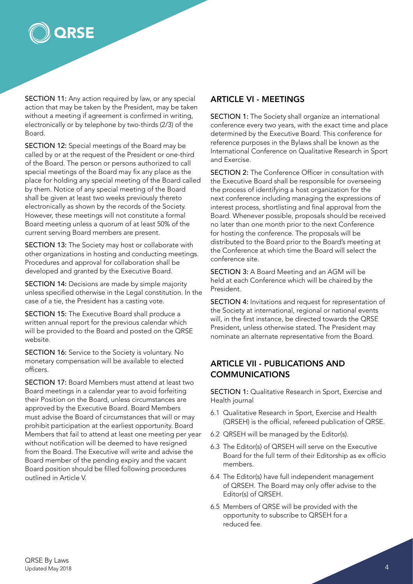

SECTION 11: Any action required by law, or any special action that may be taken by the President, may be taken without a meeting if agreement is confirmed in writing, electronically or by telephone by two-thirds (2/3) of the Board.

SECTION 12: Special meetings of the Board may be called by or at the request of the President or one-third of the Board. The person or persons authorized to call special meetings of the Board may fix any place as the place for holding any special meeting of the Board called by them. Notice of any special meeting of the Board shall be given at least two weeks previously thereto electronically as shown by the records of the Society. However, these meetings will not constitute a formal Board meeting unless a quorum of at least 50% of the current serving Board members are present.

SECTION 13: The Society may host or collaborate with other organizations in hosting and conducting meetings. Procedures and approval for collaboration shall be developed and granted by the Executive Board.

SECTION 14: Decisions are made by simple majority unless specified otherwise in the Legal constitution. In the case of a tie, the President has a casting vote.

SECTION 15: The Executive Board shall produce a written annual report for the previous calendar which will be provided to the Board and posted on the QRSE website.

SECTION 16: Service to the Society is voluntary. No monetary compensation will be available to elected officers.

SECTION 17: Board Members must attend at least two Board meetings in a calendar year to avoid forfeiting their Position on the Board, unless circumstances are approved by the Executive Board. Board Members must advise the Board of circumstances that will or may prohibit participation at the earliest opportunity. Board Members that fail to attend at least one meeting per year without notification will be deemed to have resigned from the Board. The Executive will write and advise the Board member of the pending expiry and the vacant Board position should be filled following procedures outlined in Article V.

#### ARTICLE VI - MEETINGS

SECTION 1: The Society shall organize an international conference every two years, with the exact time and place determined by the Executive Board. This conference for reference purposes in the Bylaws shall be known as the International Conference on Qualitative Research in Sport and Exercise.

SECTION 2: The Conference Officer in consultation with the Executive Board shall be responsible for overseeing the process of identifying a host organization for the next conference including managing the expressions of interest process, shortlisting and final approval from the Board. Whenever possible, proposals should be received no later than one month prior to the next Conference for hosting the conference. The proposals will be distributed to the Board prior to the Board's meeting at the Conference at which time the Board will select the conference site.

SECTION 3: A Board Meeting and an AGM will be held at each Conference which will be chaired by the President.

SECTION 4: Invitations and request for representation of the Society at international, regional or national events will, in the first instance, be directed towards the QRSE President, unless otherwise stated. The President may nominate an alternate representative from the Board.

## ARTICLE VII - PUBLICATIONS AND COMMUNICATIONS

SECTION 1: Qualitative Research in Sport, Exercise and Health journal

- 6.1 Qualitative Research in Sport, Exercise and Health (QRSEH) is the official, refereed publication of QRSE.
- 6.2 QRSEH will be managed by the Editor(s).
- 6.3 The Editor(s) of QRSEH will serve on the Executive Board for the full term of their Editorship as ex officio members.
- 6.4 The Editor(s) have full independent management of QRSEH. The Board may only offer advise to the Editor(s) of QRSEH.
- 6.5 Members of QRSE will be provided with the opportunity to subscribe to QRSEH for a reduced fee.